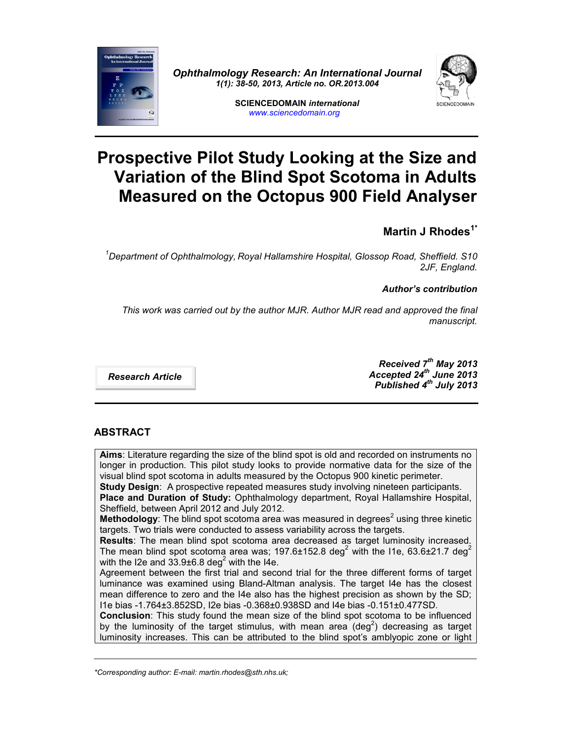

*Ophthalmology Research: An International Journal 1(1): 38-50, 2013, Article no. OR.2013.004*



**SCIENCEDOMAIN** *international www.sciencedomain.org*

# **Prospective Pilot Study Looking at the Size and Variation of the Blind Spot Scotoma in Adults Measured on the Octopus 900 Field Analyser**

# **Martin J Rhodes1\***

*<sup>1</sup>Department of Ophthalmology, Royal Hallamshire Hospital, Glossop Road, Sheffield. S10 2JF, England.*

# *Author's contribution*

*This work was carried out by the author MJR. Author MJR read and approved the final manuscript.*

*Research Article*

*Received 7th May 2013 Accepted 24th June 2013 Published 4 th July 2013*

# **ABSTRACT**

**Aims**: Literature regarding the size of the blind spot is old and recorded on instruments no longer in production. This pilot study looks to provide normative data for the size of the visual blind spot scotoma in adults measured by the Octopus 900 kinetic perimeter. **Study Design**: A prospective repeated measures study involving nineteen participants. **Place and Duration of Study:** Ophthalmology department, Royal Hallamshire Hospital, Sheffield, between April 2012 and July 2012. **Methodology**: The blind spot scotoma area was measured in degrees<sup>2</sup> using three kinetic targets. Two trials were conducted to assess variability across the targets. **Results**: The mean blind spot scotoma area decreased as target luminosity increased. The mean blind spot scotoma area was;  $197.6\pm152.8$  deg<sup>2</sup> with the I1e, 63.6 $\pm$ 21.7 deg<sup>2</sup> with the I2e and  $33.9\pm6.8$  deg<sup>2</sup> with the I4e. Agreement between the first trial and second trial for the three different forms of target luminance was examined using Bland-Altman analysis. The target I4e has the closest mean difference to zero and the I4e also has the highest precision as shown by the SD; I1e bias -1.764±3.852SD, I2e bias -0.368±0.938SD and I4e bias -0.151±0.477SD. **Conclusion**: This study found the mean size of the blind spot scotoma to be influenced by the luminosity of the target stimulus, with mean area (deg<sup>2</sup>) decreasing as target luminosity increases. This can be attributed to the blind spot's amblyopic zone or light

\_\_\_\_\_\_\_\_\_\_\_\_\_\_\_\_\_\_\_\_\_\_\_\_\_\_\_\_\_\_\_\_\_\_\_\_\_\_\_\_\_\_\_\_\_\_\_\_\_\_\_\_\_\_\_\_\_\_\_\_\_\_\_\_\_\_\_\_\_\_\_\_\_\_\_\_\_\_\_\_\_\_\_\_\_\_\_\_\_\_\_\_

*<sup>\*</sup>Corresponding author: E-mail: martin.rhodes@sth.nhs.uk;*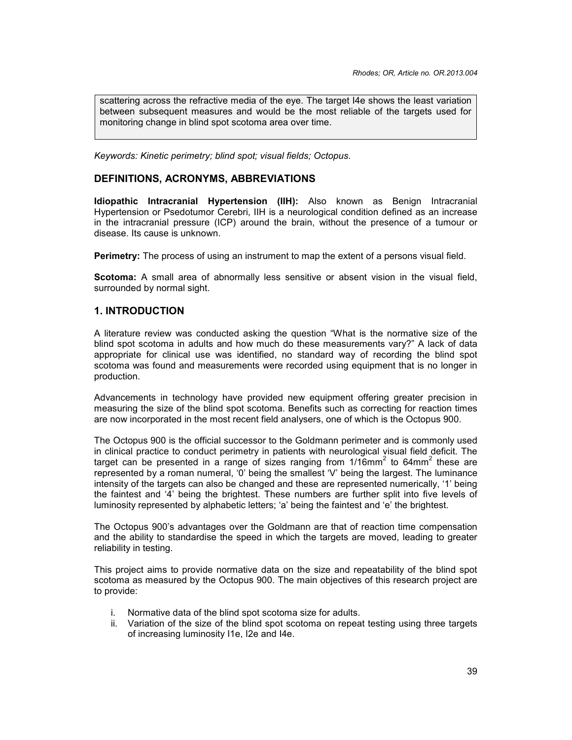scattering across the refractive media of the eye. The target I4e shows the least variation between subsequent measures and would be the most reliable of the targets used for monitoring change in blind spot scotoma area over time.

*Keywords: Kinetic perimetry; blind spot; visual fields; Octopus.*

# **DEFINITIONS, ACRONYMS, ABBREVIATIONS**

**Idiopathic Intracranial Hypertension (IIH):** Also known as Benign Intracranial Hypertension or Psedotumor Cerebri, IIH is a neurological condition defined as an increase in the intracranial pressure (ICP) around the brain, without the presence of a tumour or disease. Its cause is unknown.

**Perimetry:** The process of using an instrument to map the extent of a persons visual field.

**Scotoma:** A small area of abnormally less sensitive or absent vision in the visual field, surrounded by normal sight.

# **1. INTRODUCTION**

A literature review was conducted asking the question "What is the normative size of the blind spot scotoma in adults and how much do these measurements vary?" A lack of data appropriate for clinical use was identified, no standard way of recording the blind spot scotoma was found and measurements were recorded using equipment that is no longer in production.

Advancements in technology have provided new equipment offering greater precision in measuring the size of the blind spot scotoma. Benefits such as correcting for reaction times are now incorporated in the most recent field analysers, one of which is the Octopus 900.

The Octopus 900 is the official successor to the Goldmann perimeter and is commonly used in clinical practice to conduct perimetry in patients with neurological visual field deficit. The target can be presented in a range of sizes ranging from  $1/16$ mm<sup>2</sup> to 64mm<sup>2</sup> these are represented by a roman numeral, '0' being the smallest 'V' being the largest. The luminance intensity of the targets can also be changed and these are represented numerically, '1' being the faintest and '4' being the brightest. These numbers are further split into five levels of luminosity represented by alphabetic letters; 'a' being the faintest and 'e' the brightest.

The Octopus 900's advantages over the Goldmann are that of reaction time compensation and the ability to standardise the speed in which the targets are moved, leading to greater reliability in testing.

This project aims to provide normative data on the size and repeatability of the blind spot scotoma as measured by the Octopus 900. The main objectives of this research project are to provide:

- i. Normative data of the blind spot scotoma size for adults.
- ii. Variation of the size of the blind spot scotoma on repeat testing using three targets of increasing luminosity I1e, I2e and I4e.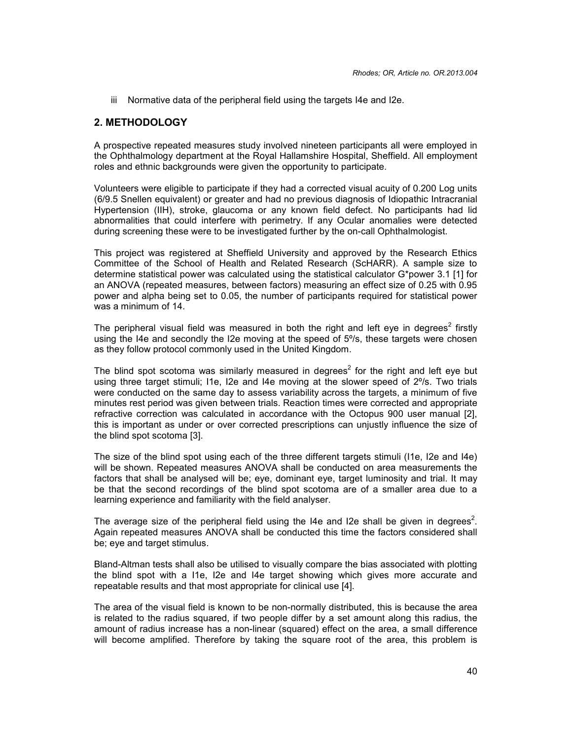iii Normative data of the peripheral field using the targets I4e and I2e.

### **2. METHODOLOGY**

A prospective repeated measures study involved nineteen participants all were employed in the Ophthalmology department at the Royal Hallamshire Hospital, Sheffield. All employment roles and ethnic backgrounds were given the opportunity to participate.

Volunteers were eligible to participate if they had a corrected visual acuity of 0.200 Log units (6/9.5 Snellen equivalent) or greater and had no previous diagnosis of Idiopathic Intracranial Hypertension (IIH), stroke, glaucoma or any known field defect. No participants had lid abnormalities that could interfere with perimetry. If any Ocular anomalies were detected during screening these were to be investigated further by the on-call Ophthalmologist.

This project was registered at Sheffield University and approved by the Research Ethics Committee of the School of Health and Related Research (ScHARR). A sample size to determine statistical power was calculated using the statistical calculator G\*power 3.1 [1] for an ANOVA (repeated measures, between factors) measuring an effect size of 0.25 with 0.95 power and alpha being set to 0.05, the number of participants required for statistical power was a minimum of 14.

The peripheral visual field was measured in both the right and left eye in degrees<sup>2</sup> firstly using the I4e and secondly the I2e moving at the speed of 5%, these targets were chosen as they follow protocol commonly used in the United Kingdom.

The blind spot scotoma was similarly measured in degrees<sup>2</sup> for the right and left eye but using three target stimuli; I1e, I2e and I4e moving at the slower speed of 2º/s. Two trials were conducted on the same day to assess variability across the targets, a minimum of five minutes rest period was given between trials. Reaction times were corrected and appropriate refractive correction was calculated in accordance with the Octopus 900 user manual [2], this is important as under or over corrected prescriptions can unjustly influence the size of the blind spot scotoma [3].

The size of the blind spot using each of the three different targets stimuli (I1e, I2e and I4e) will be shown. Repeated measures ANOVA shall be conducted on area measurements the factors that shall be analysed will be; eye, dominant eye, target luminosity and trial. It may be that the second recordings of the blind spot scotoma are of a smaller area due to a learning experience and familiarity with the field analyser.

The average size of the peripheral field using the I4e and I2e shall be given in degrees<sup>2</sup>. Again repeated measures ANOVA shall be conducted this time the factors considered shall be; eye and target stimulus.

Bland-Altman tests shall also be utilised to visually compare the bias associated with plotting the blind spot with a I1e, I2e and I4e target showing which gives more accurate and repeatable results and that most appropriate for clinical use [4].

The area of the visual field is known to be non-normally distributed, this is because the area is related to the radius squared, if two people differ by a set amount along this radius, the amount of radius increase has a non-linear (squared) effect on the area, a small difference will become amplified. Therefore by taking the square root of the area, this problem is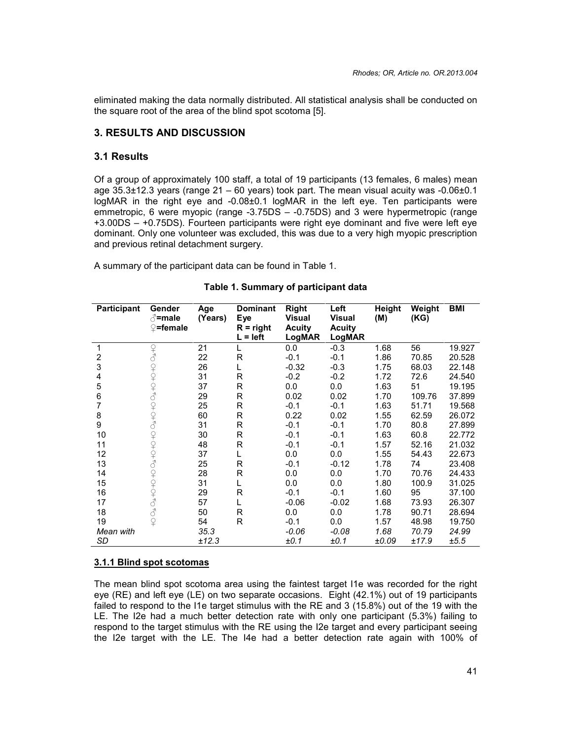eliminated making the data normally distributed. All statistical analysis shall be conducted on the square root of the area of the blind spot scotoma [5].

# **3. RESULTS AND DISCUSSION**

#### **3.1 Results**

Of a group of approximately 100 staff, a total of 19 participants (13 females, 6 males) mean age  $35.3\pm12.3$  years (range  $21 - 60$  years) took part. The mean visual acuity was  $-0.06\pm0.1$ logMAR in the right eye and -0.08±0.1 logMAR in the left eye. Ten participants were emmetropic, 6 were myopic (range -3.75DS – -0.75DS) and 3 were hypermetropic (range +3.00DS – +0.75DS). Fourteen participants were right eye dominant and five were left eye dominant. Only one volunteer was excluded, this was due to a very high myopic prescription and previous retinal detachment surgery.

A summary of the participant data can be found in Table 1.

| <b>Participant</b> | Gender<br>∄=male<br>$\mathbb{Q}$ =female | Age<br>(Years) | <b>Dominant</b><br>Eye<br>$R = right$<br>$L = left$ | <b>Right</b><br><b>Visual</b><br><b>Acuity</b><br>LogMAR | Left<br><b>Visual</b><br><b>Acuity</b><br>LogMAR | Height<br>(M) | Weight<br>(KG) | <b>BMI</b> |
|--------------------|------------------------------------------|----------------|-----------------------------------------------------|----------------------------------------------------------|--------------------------------------------------|---------------|----------------|------------|
| 1                  |                                          | 21             | L                                                   | 0.0                                                      | $-0.3$                                           | 1.68          | 56             | 19.927     |
| 2                  |                                          | 22             | $\mathsf{R}$                                        | $-0.1$                                                   | $-0.1$                                           | 1.86          | 70.85          | 20.528     |
| 3                  |                                          | 26             | L                                                   | $-0.32$                                                  | $-0.3$                                           | 1.75          | 68.03          | 22.148     |
| 4                  | 9199001010                               | 31             | R                                                   | $-0.2$                                                   | $-0.2$                                           | 1.72          | 72.6           | 24.540     |
| 5                  |                                          | 37             | R                                                   | 0.0                                                      | 0.0                                              | 1.63          | 51             | 19.195     |
| 6                  |                                          | 29             | R                                                   | 0.02                                                     | 0.02                                             | 1.70          | 109.76         | 37.899     |
| 7                  |                                          | 25             | R                                                   | $-0.1$                                                   | $-0.1$                                           | 1.63          | 51.71          | 19.568     |
| 8                  |                                          | 60             | R                                                   | 0.22                                                     | 0.02                                             | 1.55          | 62.59          | 26.072     |
| 9                  |                                          | 31             | R                                                   | $-0.1$                                                   | $-0.1$                                           | 1.70          | 80.8           | 27.899     |
| 10                 | 9191010101010                            | 30             | R                                                   | $-0.1$                                                   | $-0.1$                                           | 1.63          | 60.8           | 22.772     |
| 11                 |                                          | 48             | R                                                   | $-0.1$                                                   | $-0.1$                                           | 1.57          | 52.16          | 21.032     |
| 12                 |                                          | 37             | L                                                   | 0.0                                                      | 0.0                                              | 1.55          | 54.43          | 22.673     |
| 13                 |                                          | 25             | R                                                   | $-0.1$                                                   | $-0.12$                                          | 1.78          | 74             | 23.408     |
| 14                 |                                          | 28             | R                                                   | 0.0                                                      | 0.0                                              | 1.70          | 70.76          | 24.433     |
| 15                 |                                          | 31             | L                                                   | 0.0                                                      | 0.0                                              | 1.80          | 100.9          | 31.025     |
| 16                 |                                          | 29             | $\mathsf{R}$                                        | $-0.1$                                                   | $-0.1$                                           | 1.60          | 95             | 37.100     |
| 17                 |                                          | 57             | L                                                   | $-0.06$                                                  | $-0.02$                                          | 1.68          | 73.93          | 26.307     |
| 18                 | 999999                                   | 50             | R                                                   | 0.0                                                      | 0.0                                              | 1.78          | 90.71          | 28.694     |
| 19                 | $\varphi$                                | 54             | $\mathsf{R}$                                        | $-0.1$                                                   | 0.0                                              | 1.57          | 48.98          | 19.750     |
| Mean with          |                                          | 35.3           |                                                     | $-0.06$                                                  | $-0.08$                                          | 1.68          | 70.79          | 24.99      |
| SD                 |                                          | ±12.3          |                                                     | ±0.1                                                     | ±0.1                                             | ±0.09         | ±17.9          | ±5.5       |

#### **Table 1. Summary of participant data**

#### **3.1.1 Blind spot scotomas**

The mean blind spot scotoma area using the faintest target I1e was recorded for the right eye (RE) and left eye (LE) on two separate occasions. Eight (42.1%) out of 19 participants failed to respond to the I1e target stimulus with the RE and 3 (15.8%) out of the 19 with the LE. The I2e had a much better detection rate with only one participant (5.3%) failing to respond to the target stimulus with the RE using the I2e target and every participant seeing the I2e target with the LE. The I4e had a better detection rate again with 100% of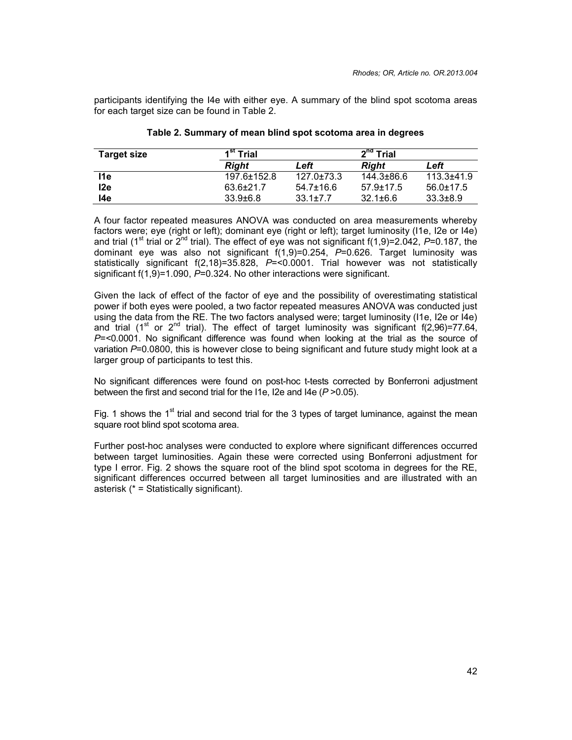participants identifying the I4e with either eye. A summary of the blind spot scotoma areas for each target size can be found in Table 2.

| <b>Target size</b> | Trial          |                  | $2nd$ Trial    |                 |  |
|--------------------|----------------|------------------|----------------|-----------------|--|
|                    | Riaht          | Left             | Riaht          | Left            |  |
| l1e                | 197.6±152.8    | $127.0 \pm 73.3$ | 144.3±86.6     | $113.3 + 41.9$  |  |
| l2e                | $63.6 + 21.7$  | $54.7 \pm 16.6$  | $57.9 + 17.5$  | $56.0 \pm 17.5$ |  |
| l4e                | $33.9 \pm 6.8$ | $33.1 \pm 7.7$   | $32.1 \pm 6.6$ | $33.3 \pm 8.9$  |  |

#### **Table 2. Summary of mean blind spot scotoma area in degrees**

A four factor repeated measures ANOVA was conducted on area measurements whereby factors were; eye (right or left); dominant eye (right or left); target luminosity (I1e, I2e or I4e) and trial (1<sup>st</sup> trial or 2<sup>nd</sup> trial). The effect of eye was not significant f(1,9)=2.042, P=0.187, the dominant eye was also not significant f(1,9)=0.254, *P*=0.626. Target luminosity was statistically significant f(2,18)=35.828, P=<0.0001. Trial however was not statistically significant f(1,9)=1.090, *P*=0.324. No other interactions were significant.

Given the lack of effect of the factor of eye and the possibility of overestimating statistical power if both eyes were pooled, a two factor repeated measures ANOVA was conducted just using the data from the RE. The two factors analysed were; target luminosity (I1e, I2e or I4e) and trial (1<sup>st</sup> or 2<sup>nd</sup> trial). The effect of target luminosity was significant f(2,96)=77.64, *P*=<0.0001. No significant difference was found when looking at the trial as the source of variation *P*=0.0800, this is however close to being significant and future study might look at a larger group of participants to test this.

No significant differences were found on post-hoc t-tests corrected by Bonferroni adjustment between the first and second trial for the I1e, I2e and I4e (*P* >0.05).

Fig. 1 shows the 1<sup>st</sup> trial and second trial for the 3 types of target luminance, against the mean square root blind spot scotoma area.

Further post-hoc analyses were conducted to explore where significant differences occurred between target luminosities. Again these were corrected using Bonferroni adjustment for type I error. Fig. 2 shows the square root of the blind spot scotoma in degrees for the RE, significant differences occurred between all target luminosities and are illustrated with an asterisk (\* = Statistically significant).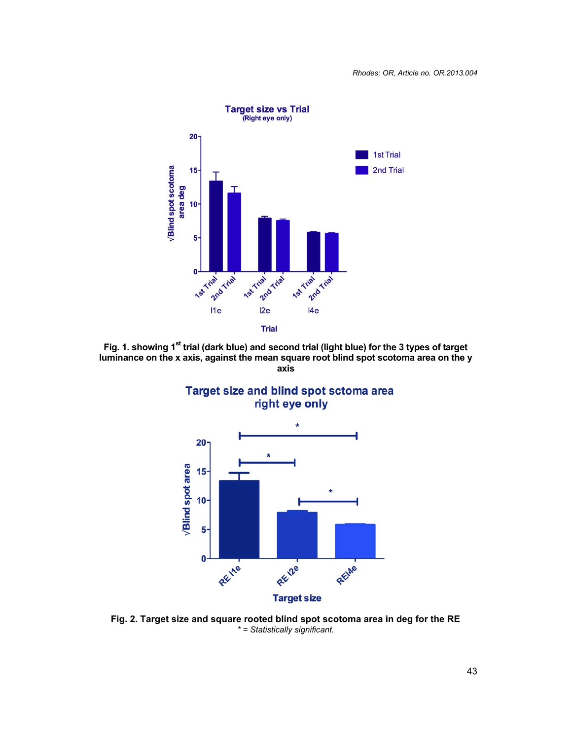

**Fig. 1. showing 1st trial (dark blue) and second trial (light blue) for the 3 types of target luminance on the x axis, against the mean square root blind spot scotoma area on the y axis**





**Fig. 2. Target size and square rooted blind spot scotoma area in deg for the RE** *\* = Statistically significant.*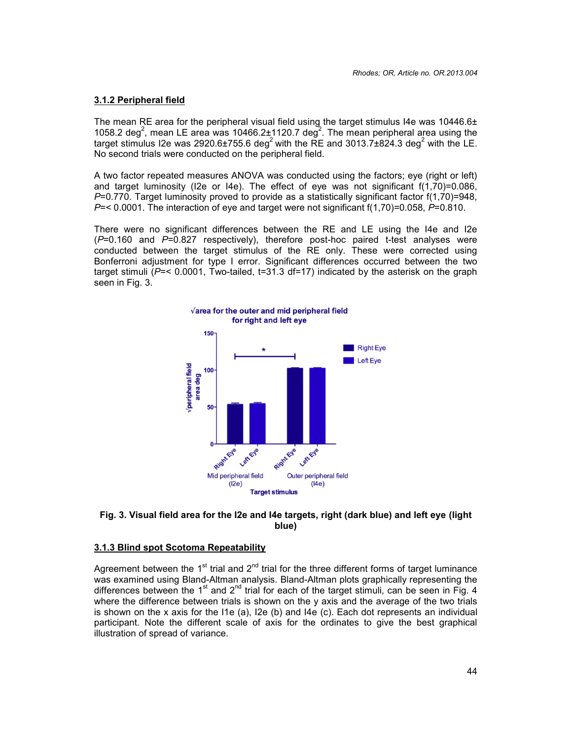#### **3.1.2 Peripheral field**

The mean RE area for the peripheral visual field using the target stimulus I4e was  $10446.6\pm$ 1058.2 deg<sup>2</sup>, mean LE area was 10466.2±1120.7 deg<sup>2</sup>. The mean peripheral area using the target stimulus I2e was 2920.6 $\pm$ 755.6 deg<sup>2</sup> with the RE and 3013.7 $\pm$ 824.3 deg<sup>2</sup> with the LE. No second trials were conducted on the peripheral field.

A two factor repeated measures ANOVA was conducted using the factors; eye (right or left) and target luminosity (I2e or I4e). The effect of eye was not significant  $f(1,70)=0.086$ , *P*=0.770. Target luminosity proved to provide as a statistically significant factor f(1,70)=948, *P*=< 0.0001. The interaction of eye and target were not significant f(1,70)=0.058, *P*=0.810.

There were no significant differences between the RE and LE using the I4e and I2e (*P*=0.160 and *P*=0.827 respectively), therefore post-hoc paired t-test analyses were conducted between the target stimulus of the RE only. These were corrected using Bonferroni adjustment for type I error. Significant differences occurred between the two target stimuli (*P*=< 0.0001, Two-tailed, t=31.3 df=17) indicated by the asterisk on the graph seen in Fig. 3.



#### **Fig. 3. Visual field area for the I2e and I4e targets, right (dark blue) and left eye (light blue)**

#### **3.1.3 Blind spot Scotoma Repeatability**

Agreement between the 1<sup>st</sup> trial and  $2<sup>nd</sup>$  trial for the three different forms of target luminance was examined using Bland-Altman analysis. Bland-Altman plots graphically representing the differences between the 1<sup>st</sup> and 2<sup>nd</sup> trial for each of the target stimuli, can be seen in Fig. 4 where the difference between trials is shown on the y axis and the average of the two trials is shown on the x axis for the I1e (a), I2e (b) and I4e (c). Each dot represents an individual participant. Note the different scale of axis for the ordinates to give the best graphical illustration of spread of variance.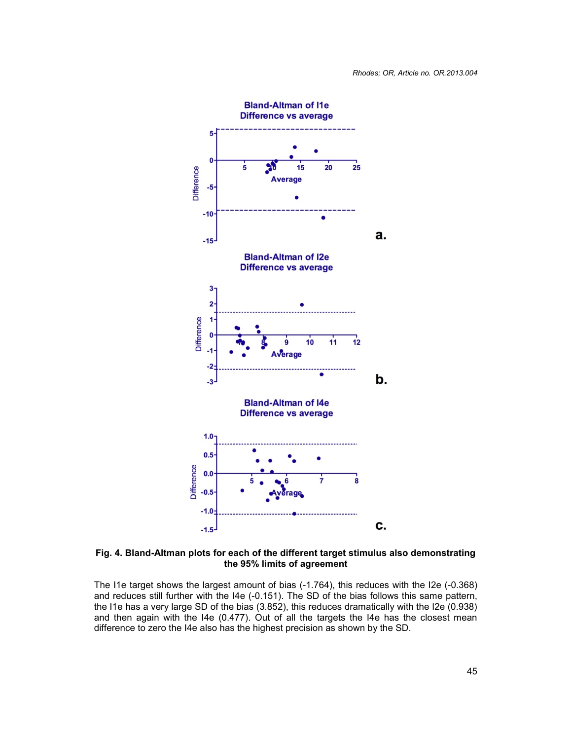

**Fig. 4. Bland-Altman plots for each of the different target stimulus also demonstrating the 95% limits of agreement**

The I1e target shows the largest amount of bias (-1.764), this reduces with the I2e (-0.368) and reduces still further with the I4e (-0.151). The SD of the bias follows this same pattern, the I1e has a very large SD of the bias (3.852), this reduces dramatically with the I2e (0.938) and then again with the I4e (0.477). Out of all the targets the I4e has the closest mean difference to zero the I4e also has the highest precision as shown by the SD.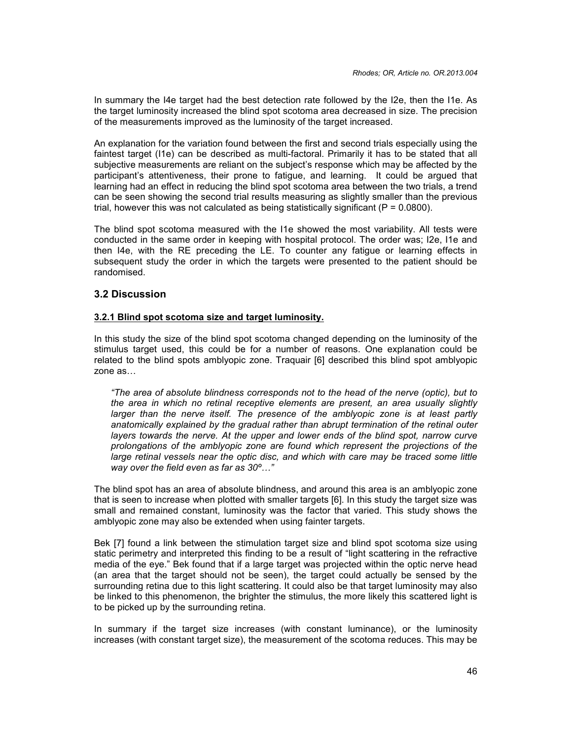In summary the I4e target had the best detection rate followed by the I2e, then the I1e. As the target luminosity increased the blind spot scotoma area decreased in size. The precision of the measurements improved as the luminosity of the target increased.

An explanation for the variation found between the first and second trials especially using the faintest target (I1e) can be described as multi-factoral. Primarily it has to be stated that all subjective measurements are reliant on the subject's response which may be affected by the participant's attentiveness, their prone to fatigue, and learning. It could be argued that learning had an effect in reducing the blind spot scotoma area between the two trials, a trend can be seen showing the second trial results measuring as slightly smaller than the previous trial, however this was not calculated as being statistically significant ( $P = 0.0800$ ).

The blind spot scotoma measured with the I1e showed the most variability. All tests were conducted in the same order in keeping with hospital protocol. The order was; I2e, I1e and then I4e, with the RE preceding the LE. To counter any fatigue or learning effects in subsequent study the order in which the targets were presented to the patient should be randomised.

# **3.2 Discussion**

#### **3.2.1 Blind spot scotoma size and target luminosity.**

In this study the size of the blind spot scotoma changed depending on the luminosity of the stimulus target used, this could be for a number of reasons. One explanation could be related to the blind spots amblyopic zone. Traquair [6] described this blind spot amblyopic zone as…

*"The area of absolute blindness corresponds not to the head of the nerve (optic), but to the area in which no retinal receptive elements are present, an area usually slightly larger than the nerve itself. The presence of the amblyopic zone is at least partly anatomically explained by the gradual rather than abrupt termination of the retinal outer layers towards the nerve. At the upper and lower ends of the blind spot, narrow curve prolongations of the amblyopic zone are found which represent the projections of the large retinal vessels near the optic disc, and which with care may be traced some little way over the field even as far as 30º…"*

The blind spot has an area of absolute blindness, and around this area is an amblyopic zone that is seen to increase when plotted with smaller targets [6]. In this study the target size was small and remained constant, luminosity was the factor that varied. This study shows the amblyopic zone may also be extended when using fainter targets.

Bek [7] found a link between the stimulation target size and blind spot scotoma size using static perimetry and interpreted this finding to be a result of "light scattering in the refractive media of the eye." Bek found that if a large target was projected within the optic nerve head (an area that the target should not be seen), the target could actually be sensed by the surrounding retina due to this light scattering. It could also be that target luminosity may also be linked to this phenomenon, the brighter the stimulus, the more likely this scattered light is to be picked up by the surrounding retina.

In summary if the target size increases (with constant luminance), or the luminosity increases (with constant target size), the measurement of the scotoma reduces. This may be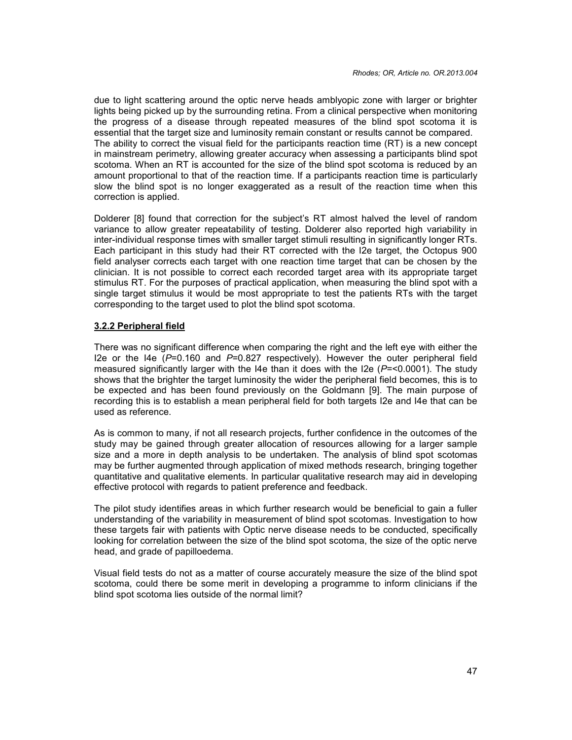due to light scattering around the optic nerve heads amblyopic zone with larger or brighter lights being picked up by the surrounding retina. From a clinical perspective when monitoring the progress of a disease through repeated measures of the blind spot scotoma it is essential that the target size and luminosity remain constant or results cannot be compared. The ability to correct the visual field for the participants reaction time (RT) is a new concept in mainstream perimetry, allowing greater accuracy when assessing a participants blind spot scotoma. When an RT is accounted for the size of the blind spot scotoma is reduced by an amount proportional to that of the reaction time. If a participants reaction time is particularly slow the blind spot is no longer exaggerated as a result of the reaction time when this correction is applied.

Dolderer [8] found that correction for the subject's RT almost halved the level of random variance to allow greater repeatability of testing. Dolderer also reported high variability in inter-individual response times with smaller target stimuli resulting in significantly longer RTs. Each participant in this study had their RT corrected with the I2e target, the Octopus 900 field analyser corrects each target with one reaction time target that can be chosen by the clinician. It is not possible to correct each recorded target area with its appropriate target stimulus RT. For the purposes of practical application, when measuring the blind spot with a single target stimulus it would be most appropriate to test the patients RTs with the target corresponding to the target used to plot the blind spot scotoma.

# **3.2.2 Peripheral field**

There was no significant difference when comparing the right and the left eye with either the I2e or the I4e (*P*=0.160 and *P*=0.827 respectively). However the outer peripheral field measured significantly larger with the I4e than it does with the I2e (*P*=<0.0001). The study shows that the brighter the target luminosity the wider the peripheral field becomes, this is to be expected and has been found previously on the Goldmann [9]. The main purpose of recording this is to establish a mean peripheral field for both targets I2e and I4e that can be used as reference.

As is common to many, if not all research projects, further confidence in the outcomes of the study may be gained through greater allocation of resources allowing for a larger sample size and a more in depth analysis to be undertaken. The analysis of blind spot scotomas may be further augmented through application of mixed methods research, bringing together quantitative and qualitative elements. In particular qualitative research may aid in developing effective protocol with regards to patient preference and feedback.

The pilot study identifies areas in which further research would be beneficial to gain a fuller understanding of the variability in measurement of blind spot scotomas. Investigation to how these targets fair with patients with Optic nerve disease needs to be conducted, specifically looking for correlation between the size of the blind spot scotoma, the size of the optic nerve head, and grade of papilloedema.

Visual field tests do not as a matter of course accurately measure the size of the blind spot scotoma, could there be some merit in developing a programme to inform clinicians if the blind spot scotoma lies outside of the normal limit?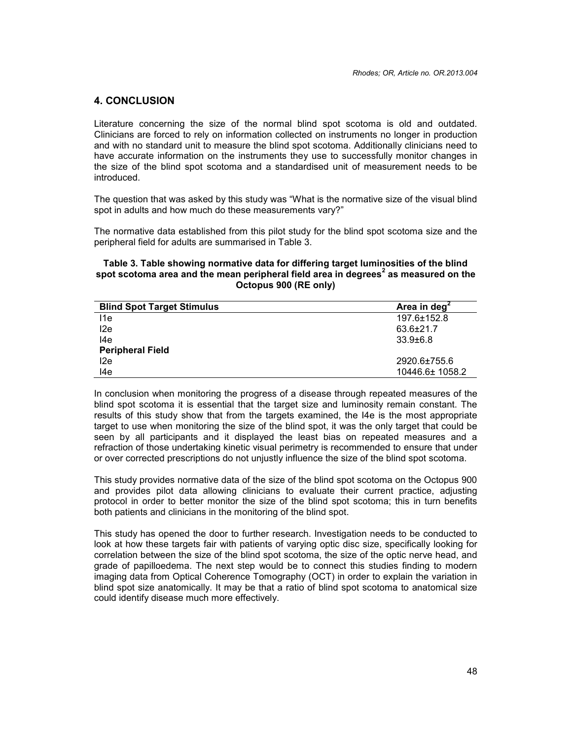# **4. CONCLUSION**

Literature concerning the size of the normal blind spot scotoma is old and outdated. Clinicians are forced to rely on information collected on instruments no longer in production and with no standard unit to measure the blind spot scotoma. Additionally clinicians need to have accurate information on the instruments they use to successfully monitor changes in the size of the blind spot scotoma and a standardised unit of measurement needs to be introduced.

The question that was asked by this study was "What is the normative size of the visual blind spot in adults and how much do these measurements vary?"

The normative data established from this pilot study for the blind spot scotoma size and the peripheral field for adults are summarised in Table 3.

#### **Table 3. Table showing normative data for differing target luminosities of the blind spot scotoma area and the mean peripheral field area in degrees<sup>2</sup> as measured on the Octopus 900 (RE only)**

| <b>Blind Spot Target Stimulus</b> | Area in deg <sup>2</sup> |
|-----------------------------------|--------------------------|
| l1e                               | 197.6±152.8              |
| l2e                               | $63.6 \pm 21.7$          |
| l4e                               | $33.9 \pm 6.8$           |
| <b>Peripheral Field</b>           |                          |
| l2e                               | 2920.6±755.6             |
| l4e                               | 10446.6± 1058.2          |

In conclusion when monitoring the progress of a disease through repeated measures of the blind spot scotoma it is essential that the target size and luminosity remain constant. The results of this study show that from the targets examined, the I4e is the most appropriate target to use when monitoring the size of the blind spot, it was the only target that could be seen by all participants and it displayed the least bias on repeated measures and a refraction of those undertaking kinetic visual perimetry is recommended to ensure that under or over corrected prescriptions do not unjustly influence the size of the blind spot scotoma.

This study provides normative data of the size of the blind spot scotoma on the Octopus 900 and provides pilot data allowing clinicians to evaluate their current practice, adjusting protocol in order to better monitor the size of the blind spot scotoma; this in turn benefits both patients and clinicians in the monitoring of the blind spot.

This study has opened the door to further research. Investigation needs to be conducted to look at how these targets fair with patients of varying optic disc size, specifically looking for correlation between the size of the blind spot scotoma, the size of the optic nerve head, and grade of papilloedema. The next step would be to connect this studies finding to modern imaging data from Optical Coherence Tomography (OCT) in order to explain the variation in blind spot size anatomically. It may be that a ratio of blind spot scotoma to anatomical size could identify disease much more effectively.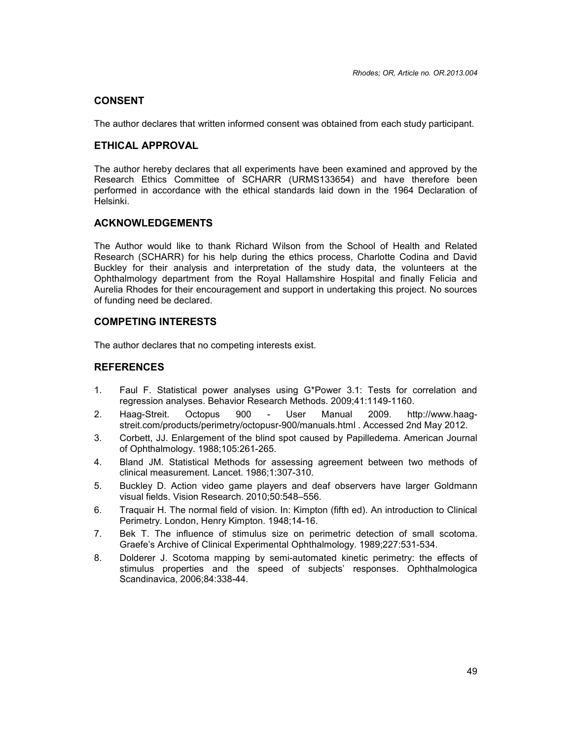# **CONSENT**

The author declares that written informed consent was obtained from each study participant.

# **ETHICAL APPROVAL**

The author hereby declares that all experiments have been examined and approved by the Research Ethics Committee of SCHARR (URMS133654) and have therefore been performed in accordance with the ethical standards laid down in the 1964 Declaration of Helsinki.

# **ACKNOWLEDGEMENTS**

The Author would like to thank Richard Wilson from the School of Health and Related Research (SCHARR) for his help during the ethics process, Charlotte Codina and David Buckley for their analysis and interpretation of the study data, the volunteers at the Ophthalmology department from the Royal Hallamshire Hospital and finally Felicia and Aurelia Rhodes for their encouragement and support in undertaking this project. No sources of funding need be declared.

# **COMPETING INTERESTS**

The author declares that no competing interests exist.

# **REFERENCES**

- 1. Faul F. Statistical power analyses using G\*Power 3.1: Tests for correlation and regression analyses. Behavior Research Methods. 2009;41:1149-1160.
- 2. Haag-Streit. Octopus 900 User Manual 2009. http://www.haag streit.com/products/perimetry/octopusr-900/manuals.html . Accessed 2nd May 2012.
- 3. Corbett, JJ. Enlargement of the blind spot caused by Papilledema. American Journal of Ophthalmology. 1988;105:261-265.
- 4. Bland JM. Statistical Methods for assessing agreement between two methods of clinical measurement. Lancet. 1986;1:307-310.
- 5. Buckley D. Action video game players and deaf observers have larger Goldmann visual fields. Vision Research. 2010;50:548–556.
- 6. Traquair H. The normal field of vision. In: Kimpton (fifth ed). An introduction to Clinical Perimetry. London, Henry Kimpton. 1948;14-16.
- 7. Bek T. The influence of stimulus size on perimetric detection of small scotoma. Graefe's Archive of Clinical Experimental Ophthalmology. 1989;227:531-534.
- 8. Dolderer J. Scotoma mapping by semi-automated kinetic perimetry: the effects of stimulus properties and the speed of subjects' responses. Ophthalmologica Scandinavica, 2006;84:338-44.